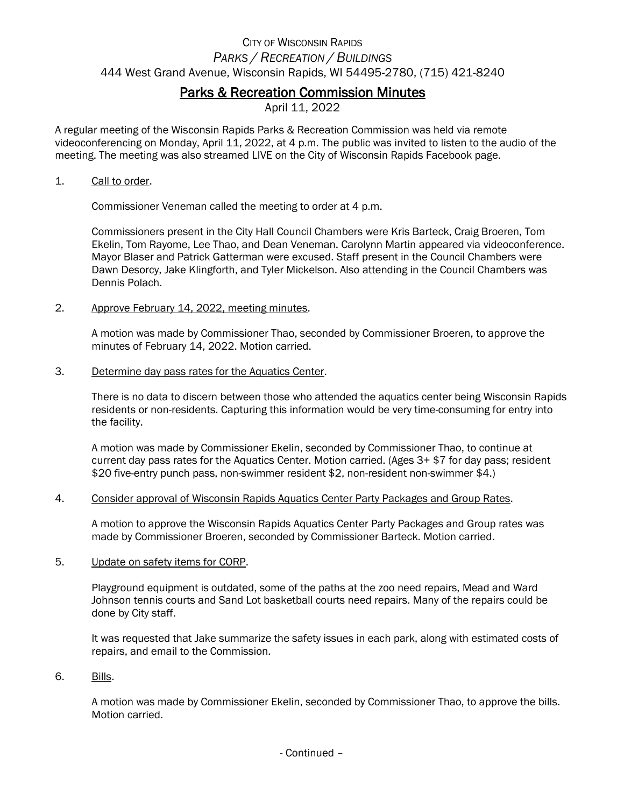# CITY OF WISCONSIN RAPIDS *PARKS / RECREATION / BUILDINGS* 444 West Grand Avenue, Wisconsin Rapids, WI 54495-2780, (715) 421-8240

# Parks & Recreation Commission Minutes

April 11, 2022

A regular meeting of the Wisconsin Rapids Parks & Recreation Commission was held via remote videoconferencing on Monday, April 11, 2022, at 4 p.m. The public was invited to listen to the audio of the meeting. The meeting was also streamed LIVE on the City of Wisconsin Rapids Facebook page.

#### 1. Call to order.

Commissioner Veneman called the meeting to order at 4 p.m.

Commissioners present in the City Hall Council Chambers were Kris Barteck, Craig Broeren, Tom Ekelin, Tom Rayome, Lee Thao, and Dean Veneman. Carolynn Martin appeared via videoconference. Mayor Blaser and Patrick Gatterman were excused. Staff present in the Council Chambers were Dawn Desorcy, Jake Klingforth, and Tyler Mickelson. Also attending in the Council Chambers was Dennis Polach.

2. Approve February 14, 2022, meeting minutes.

A motion was made by Commissioner Thao, seconded by Commissioner Broeren, to approve the minutes of February 14, 2022. Motion carried.

3. Determine day pass rates for the Aquatics Center.

There is no data to discern between those who attended the aquatics center being Wisconsin Rapids residents or non-residents. Capturing this information would be very time-consuming for entry into the facility.

A motion was made by Commissioner Ekelin, seconded by Commissioner Thao, to continue at current day pass rates for the Aquatics Center. Motion carried. (Ages 3+ \$7 for day pass; resident \$20 five-entry punch pass, non-swimmer resident \$2, non-resident non-swimmer \$4.)

4. Consider approval of Wisconsin Rapids Aquatics Center Party Packages and Group Rates.

A motion to approve the Wisconsin Rapids Aquatics Center Party Packages and Group rates was made by Commissioner Broeren, seconded by Commissioner Barteck. Motion carried.

5. Update on safety items for CORP.

Playground equipment is outdated, some of the paths at the zoo need repairs, Mead and Ward Johnson tennis courts and Sand Lot basketball courts need repairs. Many of the repairs could be done by City staff.

It was requested that Jake summarize the safety issues in each park, along with estimated costs of repairs, and email to the Commission.

6. Bills.

A motion was made by Commissioner Ekelin, seconded by Commissioner Thao, to approve the bills. Motion carried.